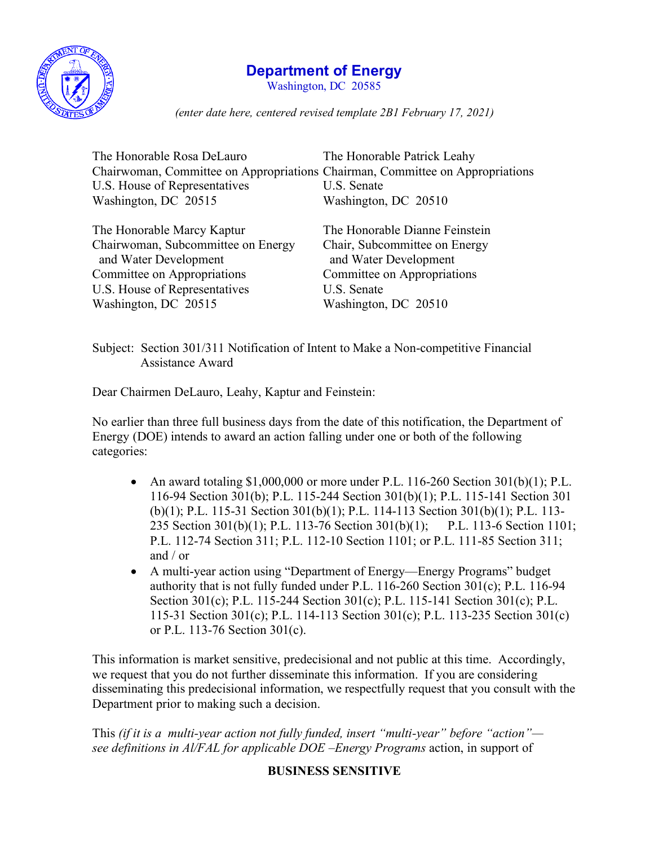

## **Department of Energy**

Washington, DC 20585

*(enter date here, centered revised template 2B1 February 17, 2021)*

| The Honorable Rosa DeLauro                                                    | The Honorable Patrick Leahy    |
|-------------------------------------------------------------------------------|--------------------------------|
| Chairwoman, Committee on Appropriations Chairman, Committee on Appropriations |                                |
| U.S. House of Representatives                                                 | U.S. Senate                    |
| Washington, DC 20515                                                          | Washington, DC 20510           |
|                                                                               |                                |
| The Honorable Marcy Kaptur                                                    | The Honorable Dianne Feinstein |
| Chairwoman, Subcommittee on Energy                                            | Chair, Subcommittee on Energy  |
| and Water Development                                                         | and Water Development          |
| Committee on Appropriations                                                   | Committee on Appropriations    |
| U.S. House of Representatives                                                 | U.S. Senate                    |
| Washington, DC 20515                                                          | Washington, DC 20510           |
|                                                                               |                                |

Subject: Section 301/311 Notification of Intent to Make a Non-competitive Financial Assistance Award

Dear Chairmen DeLauro, Leahy, Kaptur and Feinstein:

No earlier than three full business days from the date of this notification, the Department of Energy (DOE) intends to award an action falling under one or both of the following categories:

- An award totaling  $$1,000,000$  or more under P.L. 116-260 Section  $301(b)(1)$ ; P.L. 116-94 Section 301(b); P.L. 115-244 Section 301(b)(1); P.L. 115-141 Section 301 (b)(1); P.L. 115-31 Section 301(b)(1); P.L. 114-113 Section 301(b)(1); P.L. 113- 235 Section 301(b)(1); P.L. 113-76 Section 301(b)(1); P.L. 113-6 Section 1101; P.L. 112-74 Section 311; P.L. 112-10 Section 1101; or P.L. 111-85 Section 311; and / or
- A multi-year action using "Department of Energy—Energy Programs" budget authority that is not fully funded under P.L. 116-260 Section 301(c); P.L. 116-94 Section 301(c); P.L. 115-244 Section 301(c); P.L. 115-141 Section 301(c); P.L. 115-31 Section 301(c); P.L. 114-113 Section 301(c); P.L. 113-235 Section 301(c) or P.L. 113-76 Section 301(c).

This information is market sensitive, predecisional and not public at this time. Accordingly, we request that you do not further disseminate this information. If you are considering disseminating this predecisional information, we respectfully request that you consult with the Department prior to making such a decision.

This *(if it is a multi-year action not fully funded, insert "multi-year" before "action" see definitions in Al/FAL for applicable DOE –Energy Programs* action, in support of

## **BUSINESS SENSITIVE**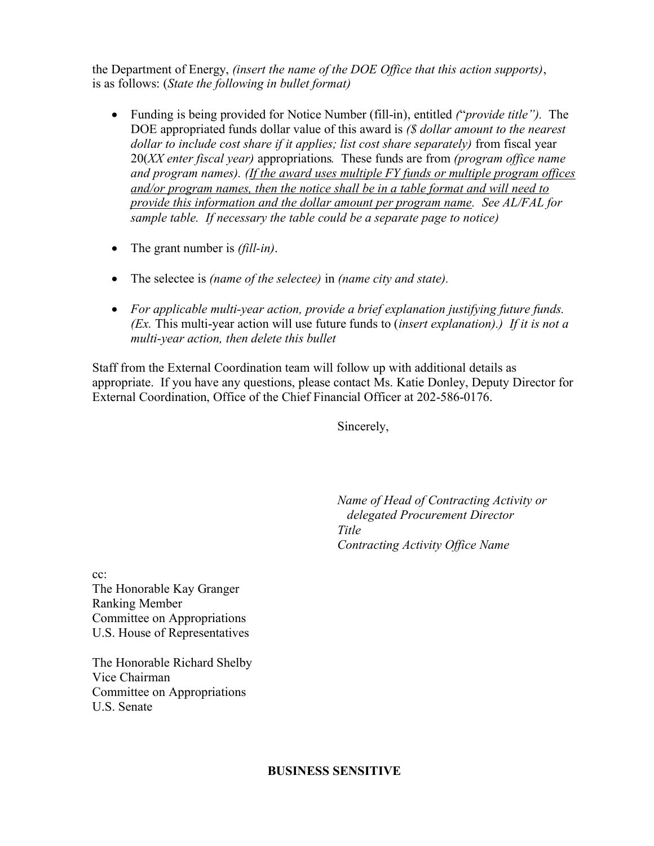the Department of Energy, *(insert the name of the DOE Office that this action supports)*, is as follows: (*State the following in bullet format)*

- Funding is being provided for Notice Number (fill-in), entitled *(*"*provide title").* The DOE appropriated funds dollar value of this award is *(\$ dollar amount to the nearest dollar to include cost share if it applies; list cost share separately)* from fiscal year 20(*XX enter fiscal year)* appropriations*.* These funds are from *(program office name and program names). (If the award uses multiple FY funds or multiple program offices and/or program names, then the notice shall be in a table format and will need to provide this information and the dollar amount per program name. See AL/FAL for sample table. If necessary the table could be a separate page to notice)*
- The grant number is *(fill-in)*.
- The selectee is *(name of the selectee)* in *(name city and state).*
- *For applicable multi-year action, provide a brief explanation justifying future funds. (Ex.* This multi-year action will use future funds to (*insert explanation).) If it is not a multi-year action, then delete this bullet*

Staff from the External Coordination team will follow up with additional details as appropriate. If you have any questions, please contact Ms. Katie Donley, Deputy Director for External Coordination, Office of the Chief Financial Officer at 202-586-0176.

Sincerely,

*Name of Head of Contracting Activity or delegated Procurement Director Title Contracting Activity Office Name*

cc: The Honorable Kay Granger Ranking Member Committee on Appropriations U.S. House of Representatives

The Honorable Richard Shelby Vice Chairman Committee on Appropriations U.S. Senate

## **BUSINESS SENSITIVE**